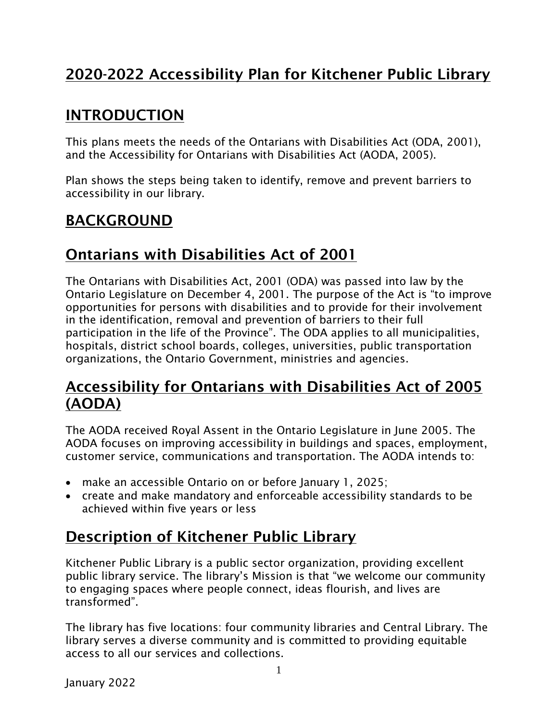# 2020-2022 Accessibility Plan for Kitchener Public Library

### INTRODUCTION

This plans meets the needs of the Ontarians with Disabilities Act (ODA, 2001), and the Accessibility for Ontarians with Disabilities Act (AODA, 2005).

Plan shows the steps being taken to identify, remove and prevent barriers to accessibility in our library.

### BACKGROUND

### Ontarians with Disabilities Act of 2001

The Ontarians with Disabilities Act, 2001 (ODA) was passed into law by the Ontario Legislature on December 4, 2001. The purpose of the Act is "to improve opportunities for persons with disabilities and to provide for their involvement in the identification, removal and prevention of barriers to their full participation in the life of the Province". The ODA applies to all municipalities, hospitals, district school boards, colleges, universities, public transportation organizations, the Ontario Government, ministries and agencies.

### Accessibility for Ontarians with Disabilities Act of 2005 (AODA)

The AODA received Royal Assent in the Ontario Legislature in June 2005. The AODA focuses on improving accessibility in buildings and spaces, employment, customer service, communications and transportation. The AODA intends to:

- make an accessible Ontario on or before January 1, 2025;
- create and make mandatory and enforceable accessibility standards to be achieved within five years or less

# Description of Kitchener Public Library

Kitchener Public Library is a public sector organization, providing excellent public library service. The library's Mission is that "we welcome our community to engaging spaces where people connect, ideas flourish, and lives are transformed".

The library has five locations: four community libraries and Central Library. The library serves a diverse community and is committed to providing equitable access to all our services and collections.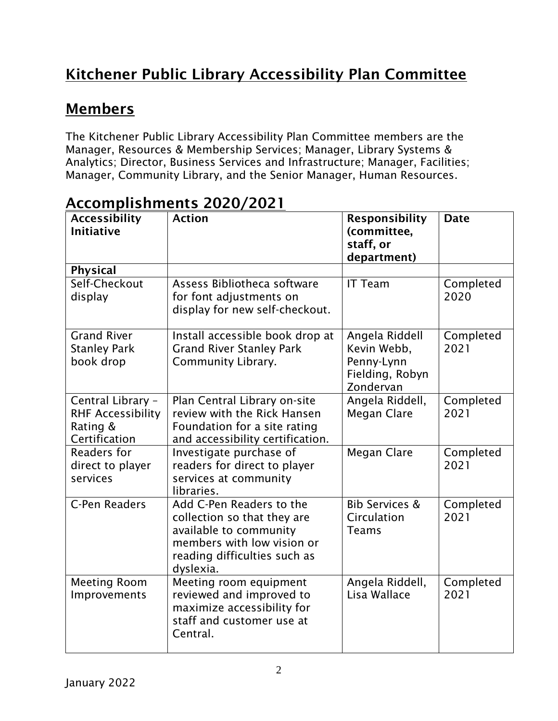# Kitchener Public Library Accessibility Plan Committee

# Members

The Kitchener Public Library Accessibility Plan Committee members are the Manager, Resources & Membership Services; Manager, Library Systems & Analytics; Director, Business Services and Infrastructure; Manager, Facilities; Manager, Community Library, and the Senior Manager, Human Resources.

| <b>Accessibility</b><br><b>Initiative</b>                                  | <b>Action</b>                                                                                                                                                | <b>Responsibility</b><br>(committee,<br>staff, or<br>department)            | <b>Date</b>       |
|----------------------------------------------------------------------------|--------------------------------------------------------------------------------------------------------------------------------------------------------------|-----------------------------------------------------------------------------|-------------------|
| <b>Physical</b>                                                            |                                                                                                                                                              |                                                                             |                   |
| Self-Checkout<br>display                                                   | Assess Bibliotheca software<br>for font adjustments on<br>display for new self-checkout.                                                                     | <b>IT Team</b>                                                              | Completed<br>2020 |
| <b>Grand River</b><br><b>Stanley Park</b><br>book drop                     | Install accessible book drop at<br><b>Grand River Stanley Park</b><br>Community Library.                                                                     | Angela Riddell<br>Kevin Webb,<br>Penny-Lynn<br>Fielding, Robyn<br>Zondervan | Completed<br>2021 |
| Central Library -<br><b>RHF Accessibility</b><br>Rating &<br>Certification | Plan Central Library on-site<br>review with the Rick Hansen<br>Foundation for a site rating<br>and accessibility certification.                              | Angela Riddell,<br>Megan Clare                                              | Completed<br>2021 |
| Readers for<br>direct to player<br>services                                | Investigate purchase of<br>readers for direct to player<br>services at community<br>libraries.                                                               | <b>Megan Clare</b>                                                          | Completed<br>2021 |
| C-Pen Readers                                                              | Add C-Pen Readers to the<br>collection so that they are<br>available to community<br>members with low vision or<br>reading difficulties such as<br>dyslexia. | <b>Bib Services &amp;</b><br>Circulation<br><b>Teams</b>                    | Completed<br>2021 |
| <b>Meeting Room</b><br>Improvements                                        | Meeting room equipment<br>reviewed and improved to<br>maximize accessibility for<br>staff and customer use at<br>Central.                                    | Angela Riddell,<br>Lisa Wallace                                             | Completed<br>2021 |

# Accomplishments 2020/2021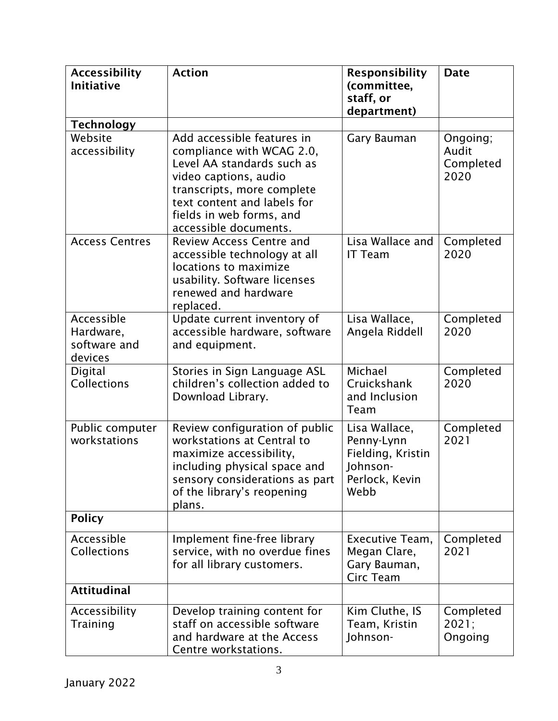| <b>Accessibility</b><br><b>Initiative</b>          | <b>Action</b>                                                                                                                                                                                                                    | <b>Responsibility</b><br>(committee,<br>staff, or<br>department)                       | <b>Date</b>                            |
|----------------------------------------------------|----------------------------------------------------------------------------------------------------------------------------------------------------------------------------------------------------------------------------------|----------------------------------------------------------------------------------------|----------------------------------------|
| <b>Technology</b>                                  |                                                                                                                                                                                                                                  |                                                                                        |                                        |
| Website<br>accessibility                           | Add accessible features in<br>compliance with WCAG 2.0,<br>Level AA standards such as<br>video captions, audio<br>transcripts, more complete<br>text content and labels for<br>fields in web forms, and<br>accessible documents. | Gary Bauman                                                                            | Ongoing;<br>Audit<br>Completed<br>2020 |
| <b>Access Centres</b>                              | <b>Review Access Centre and</b><br>accessible technology at all<br>locations to maximize<br>usability. Software licenses<br>renewed and hardware<br>replaced.                                                                    | Lisa Wallace and<br><b>IT Team</b>                                                     | Completed<br>2020                      |
| Accessible<br>Hardware,<br>software and<br>devices | Update current inventory of<br>accessible hardware, software<br>and equipment.                                                                                                                                                   | Lisa Wallace,<br>Angela Riddell                                                        | Completed<br>2020                      |
| Digital<br><b>Collections</b>                      | Stories in Sign Language ASL<br>children's collection added to<br>Download Library.                                                                                                                                              | Michael<br>Cruickshank<br>and Inclusion<br>Team                                        | Completed<br>2020                      |
| Public computer<br>workstations                    | Review configuration of public<br>workstations at Central to<br>maximize accessibility,<br>including physical space and<br>sensory considerations as part<br>of the library's reopening<br>plans.                                | Lisa Wallace,<br>Penny-Lynn<br>Fielding, Kristin<br>Johnson-<br>Perlock, Kevin<br>Webb | Completed<br>2021                      |
| <b>Policy</b>                                      |                                                                                                                                                                                                                                  |                                                                                        |                                        |
| Accessible<br><b>Collections</b>                   | Implement fine-free library<br>service, with no overdue fines<br>for all library customers.                                                                                                                                      | Executive Team,<br>Megan Clare,<br>Gary Bauman,<br>Circ Team                           | Completed<br>2021                      |
| <b>Attitudinal</b>                                 |                                                                                                                                                                                                                                  |                                                                                        |                                        |
| Accessibility<br>Training                          | Develop training content for<br>staff on accessible software<br>and hardware at the Access<br>Centre workstations.                                                                                                               | Kim Cluthe, IS<br>Team, Kristin<br>Johnson-                                            | Completed<br>2021;<br>Ongoing          |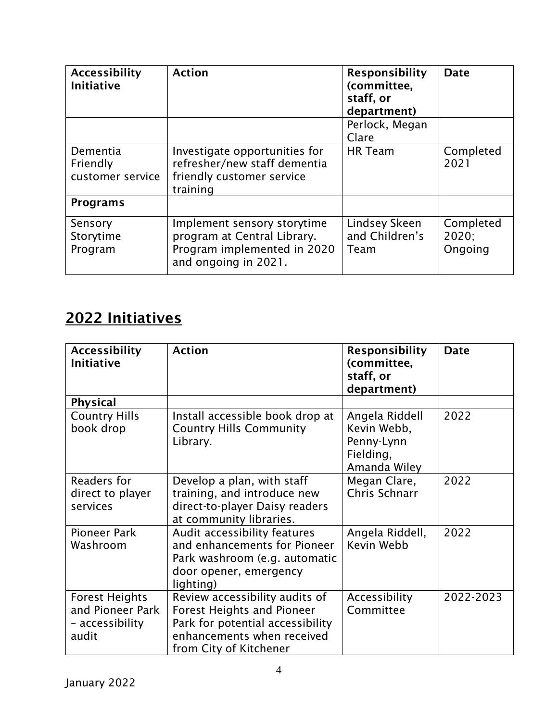| <b>Accessibility</b><br><b>Initiative</b> | <b>Action</b>                                                                                                     | <b>Responsibility</b><br>(committee,<br>staff, or<br>department) | <b>Date</b>                   |
|-------------------------------------------|-------------------------------------------------------------------------------------------------------------------|------------------------------------------------------------------|-------------------------------|
|                                           |                                                                                                                   | Perlock, Megan<br>Clare                                          |                               |
| Dementia<br>Friendly<br>customer service  | Investigate opportunities for<br>refresher/new staff dementia<br>friendly customer service<br>training            | <b>HR</b> Team                                                   | Completed<br>2021             |
| <b>Programs</b>                           |                                                                                                                   |                                                                  |                               |
| Sensory<br>Storytime<br>Program           | Implement sensory storytime<br>program at Central Library.<br>Program implemented in 2020<br>and ongoing in 2021. | Lindsey Skeen<br>and Children's<br>Team                          | Completed<br>2020:<br>Ongoing |

# 2022 Initiatives

| <b>Accessibility</b><br><b>Initiative</b>                             | <b>Action</b>                                                                                                                                                   | <b>Responsibility</b><br>(committee,<br>staff, or<br>department)         | <b>Date</b> |
|-----------------------------------------------------------------------|-----------------------------------------------------------------------------------------------------------------------------------------------------------------|--------------------------------------------------------------------------|-------------|
| <b>Physical</b>                                                       |                                                                                                                                                                 |                                                                          |             |
| <b>Country Hills</b><br>book drop                                     | Install accessible book drop at<br><b>Country Hills Community</b><br>Library.                                                                                   | Angela Riddell<br>Kevin Webb,<br>Penny-Lynn<br>Fielding,<br>Amanda Wiley | 2022        |
| Readers for<br>direct to player<br>services                           | Develop a plan, with staff<br>training, and introduce new<br>direct-to-player Daisy readers<br>at community libraries.                                          | Megan Clare,<br>Chris Schnarr                                            | 2022        |
| <b>Pioneer Park</b><br>Washroom                                       | Audit accessibility features<br>and enhancements for Pioneer<br>Park washroom (e.g. automatic<br>door opener, emergency<br>lighting)                            | Angela Riddell,<br>Kevin Webb                                            | 2022        |
| <b>Forest Heights</b><br>and Pioneer Park<br>- accessibility<br>audit | Review accessibility audits of<br><b>Forest Heights and Pioneer</b><br>Park for potential accessibility<br>enhancements when received<br>from City of Kitchener | Accessibility<br>Committee                                               | 2022-2023   |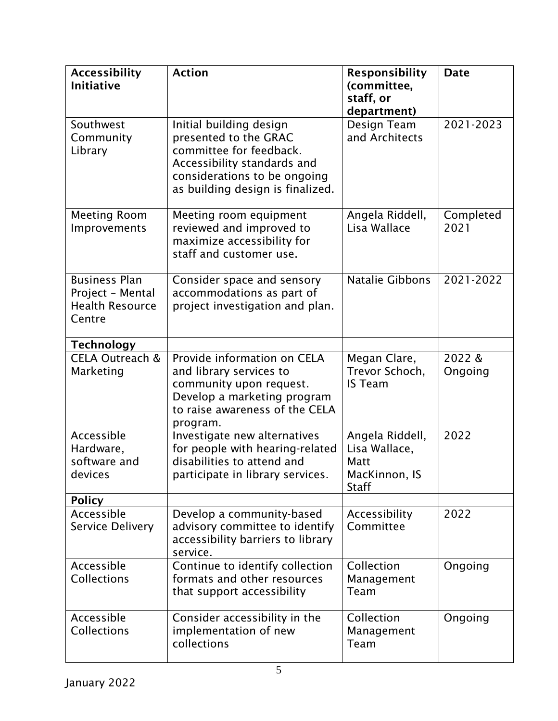| <b>Accessibility</b><br><b>Initiative</b>                                    | <b>Action</b>                                                                                                                                                                  | <b>Responsibility</b><br>(committee,<br>staff, or<br>department)          | <b>Date</b>       |
|------------------------------------------------------------------------------|--------------------------------------------------------------------------------------------------------------------------------------------------------------------------------|---------------------------------------------------------------------------|-------------------|
| Southwest<br>Community<br>Library                                            | Initial building design<br>presented to the GRAC<br>committee for feedback.<br>Accessibility standards and<br>considerations to be ongoing<br>as building design is finalized. | Design Team<br>and Architects                                             | 2021-2023         |
| <b>Meeting Room</b><br>Improvements                                          | Meeting room equipment<br>reviewed and improved to<br>maximize accessibility for<br>staff and customer use.                                                                    | Angela Riddell,<br>Lisa Wallace                                           | Completed<br>2021 |
| <b>Business Plan</b><br>Project - Mental<br><b>Health Resource</b><br>Centre | Consider space and sensory<br>accommodations as part of<br>project investigation and plan.                                                                                     | <b>Natalie Gibbons</b>                                                    | 2021-2022         |
| <b>Technology</b>                                                            |                                                                                                                                                                                |                                                                           |                   |
| CELA Outreach &<br>Marketing                                                 | Provide information on CELA<br>and library services to<br>community upon request.<br>Develop a marketing program<br>to raise awareness of the CELA<br>program.                 | Megan Clare,<br>Trevor Schoch,<br><b>IS Team</b>                          | 2022&<br>Ongoing  |
| Accessible<br>Hardware,<br>software and<br>devices                           | Investigate new alternatives<br>for people with hearing-related<br>disabilities to attend and<br>participate in library services.                                              | Angela Riddell,<br>Lisa Wallace,<br>Matt<br>MacKinnon, IS<br><b>Staff</b> | 2022              |
| <b>Policy</b>                                                                |                                                                                                                                                                                |                                                                           |                   |
| Accessible<br>Service Delivery                                               | Develop a community-based<br>advisory committee to identify<br>accessibility barriers to library<br>service.                                                                   | Accessibility<br>Committee                                                | 2022              |
| Accessible<br><b>Collections</b>                                             | Continue to identify collection<br>formats and other resources<br>that support accessibility                                                                                   | Collection<br>Management<br>Team                                          | Ongoing           |
| Accessible<br><b>Collections</b>                                             | Consider accessibility in the<br>implementation of new<br>collections                                                                                                          | Collection<br>Management<br>Team                                          | Ongoing           |